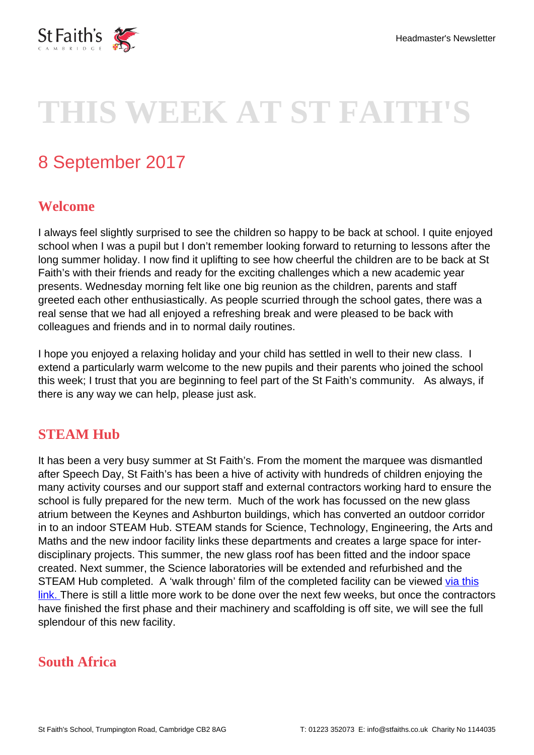

# **THIS WEEK AT ST FAITH'S**

## 8 September 2017

#### **Welcome**

I always feel slightly surprised to see the children so happy to be back at school. I quite enjoyed school when I was a pupil but I don't remember looking forward to returning to lessons after the long summer holiday. I now find it uplifting to see how cheerful the children are to be back at St Faith's with their friends and ready for the exciting challenges which a new academic year presents. Wednesday morning felt like one big reunion as the children, parents and staff greeted each other enthusiastically. As people scurried through the school gates, there was a real sense that we had all enjoyed a refreshing break and were pleased to be back with colleagues and friends and in to normal daily routines.

I hope you enjoyed a relaxing holiday and your child has settled in well to their new class. I extend a particularly warm welcome to the new pupils and their parents who joined the school this week; I trust that you are beginning to feel part of the St Faith's community. As always, if there is any way we can help, please just ask.

### **STEAM Hub**

It has been a very busy summer at St Faith's. From the moment the marquee was dismantled after Speech Day, St Faith's has been a hive of activity with hundreds of children enjoying the many activity courses and our support staff and external contractors working hard to ensure the school is fully prepared for the new term. Much of the work has focussed on the new glass atrium between the Keynes and Ashburton buildings, which has converted an outdoor corridor in to an indoor STEAM Hub. STEAM stands for Science, Technology, Engineering, the Arts and Maths and the new indoor facility links these departments and creates a large space for interdisciplinary projects. This summer, the new glass roof has been fitted and the indoor space created. Next summer, the Science laboratories will be extended and refurbished and the STEAM Hub completed. A 'walk through' film of the completed facility can be viewed [via this](https://www.youtube.com/watch?v=Ejq0USNeP_w) [link.](https://www.youtube.com/watch?v=Ejq0USNeP_w) There is still a little more work to be done over the next few weeks, but once the contractors have finished the first phase and their machinery and scaffolding is off site, we will see the full splendour of this new facility.

### **South Africa**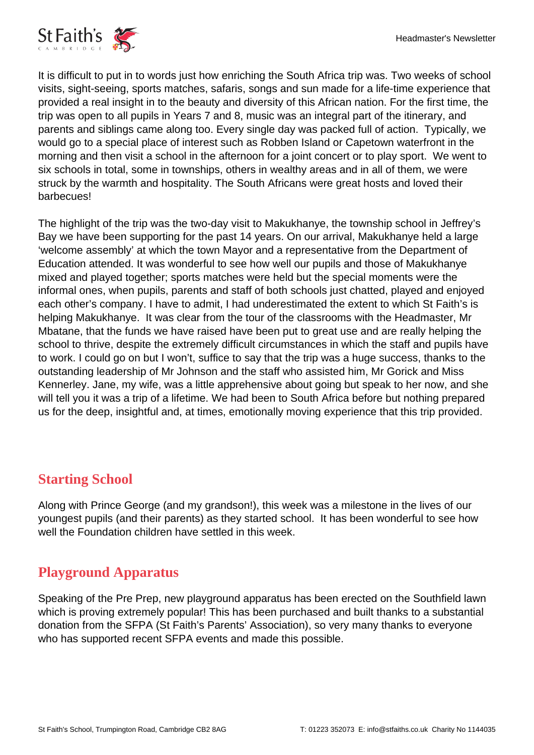

It is difficult to put in to words just how enriching the South Africa trip was. Two weeks of school visits, sight-seeing, sports matches, safaris, songs and sun made for a life-time experience that provided a real insight in to the beauty and diversity of this African nation. For the first time, the trip was open to all pupils in Years 7 and 8, music was an integral part of the itinerary, and parents and siblings came along too. Every single day was packed full of action. Typically, we would go to a special place of interest such as Robben Island or Capetown waterfront in the morning and then visit a school in the afternoon for a joint concert or to play sport. We went to six schools in total, some in townships, others in wealthy areas and in all of them, we were struck by the warmth and hospitality. The South Africans were great hosts and loved their barbecues!

The highlight of the trip was the two-day visit to Makukhanye, the township school in Jeffrey's Bay we have been supporting for the past 14 years. On our arrival, Makukhanye held a large 'welcome assembly' at which the town Mayor and a representative from the Department of Education attended. It was wonderful to see how well our pupils and those of Makukhanye mixed and played together; sports matches were held but the special moments were the informal ones, when pupils, parents and staff of both schools just chatted, played and enjoyed each other's company. I have to admit, I had underestimated the extent to which St Faith's is helping Makukhanye. It was clear from the tour of the classrooms with the Headmaster, Mr Mbatane, that the funds we have raised have been put to great use and are really helping the school to thrive, despite the extremely difficult circumstances in which the staff and pupils have to work. I could go on but I won't, suffice to say that the trip was a huge success, thanks to the outstanding leadership of Mr Johnson and the staff who assisted him, Mr Gorick and Miss Kennerley. Jane, my wife, was a little apprehensive about going but speak to her now, and she will tell you it was a trip of a lifetime. We had been to South Africa before but nothing prepared us for the deep, insightful and, at times, emotionally moving experience that this trip provided.

### **Starting School**

Along with Prince George (and my grandson!), this week was a milestone in the lives of our youngest pupils (and their parents) as they started school. It has been wonderful to see how well the Foundation children have settled in this week.

### **Playground Apparatus**

Speaking of the Pre Prep, new playground apparatus has been erected on the Southfield lawn which is proving extremely popular! This has been purchased and built thanks to a substantial donation from the SFPA (St Faith's Parents' Association), so very many thanks to everyone who has supported recent SFPA events and made this possible.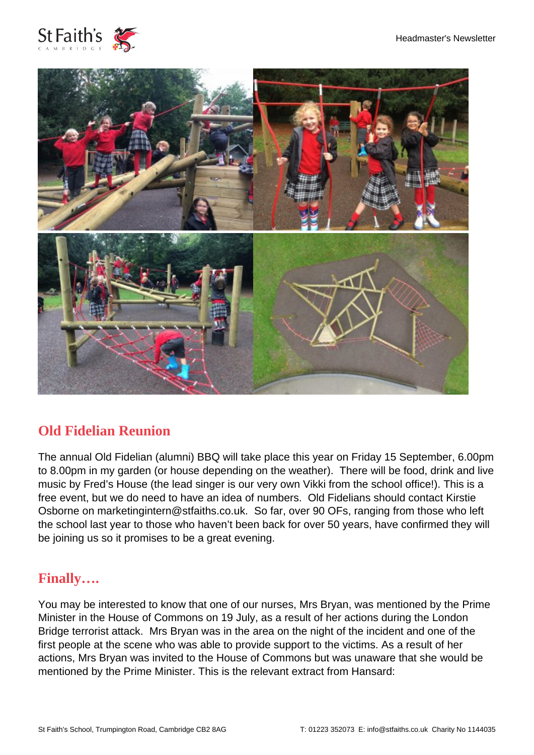



### **Old Fidelian Reunion**

The annual Old Fidelian (alumni) BBQ will take place this year on Friday 15 September, 6.00pm to 8.00pm in my garden (or house depending on the weather). There will be food, drink and live music by Fred's House (the lead singer is our very own Vikki from the school office!). This is a free event, but we do need to have an idea of numbers. Old Fidelians should contact Kirstie Osborne on marketingintern@stfaiths.co.uk. So far, over 90 OFs, ranging from those who left the school last year to those who haven't been back for over 50 years, have confirmed they will be joining us so it promises to be a great evening.

### **Finally….**

You may be interested to know that one of our nurses, Mrs Bryan, was mentioned by the Prime Minister in the House of Commons on 19 July, as a result of her actions during the London Bridge terrorist attack. Mrs Bryan was in the area on the night of the incident and one of the first people at the scene who was able to provide support to the victims. As a result of her actions, Mrs Bryan was invited to the House of Commons but was unaware that she would be mentioned by the Prime Minister. This is the relevant extract from Hansard: